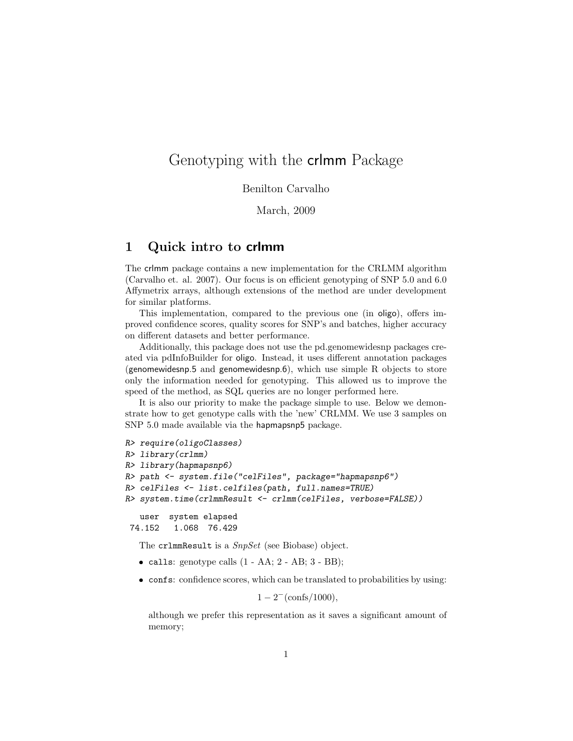## Genotyping with the crlmm Package

## Benilton Carvalho

March, 2009

## 1 Quick intro to crlmm

The crlmm package contains a new implementation for the CRLMM algorithm (Carvalho et. al. 2007). Our focus is on efficient genotyping of SNP 5.0 and 6.0 Affymetrix arrays, although extensions of the method are under development for similar platforms.

This implementation, compared to the previous one (in oligo), offers improved confidence scores, quality scores for SNP's and batches, higher accuracy on different datasets and better performance.

Additionally, this package does not use the pd.genomewidesnp packages created via pdInfoBuilder for oligo. Instead, it uses different annotation packages (genomewidesnp.5 and genomewidesnp.6), which use simple  $R$  objects to store only the information needed for genotyping. This allowed us to improve the speed of the method, as SQL queries are no longer performed here.

It is also our priority to make the package simple to use. Below we demonstrate how to get genotype calls with the 'new' CRLMM. We use 3 samples on SNP 5.0 made available via the hapmapsnp5 package.

```
R> require(oligoClasses)
R> library(crlmm)
R> library(hapmapsnp6)
R> path <- system.file("celFiles", package="hapmapsnp6")
R> celFiles <- list.celfiles(path, full.names=TRUE)
R> system.time(crlmmResult <- crlmm(celFiles, verbose=FALSE))
   user system elapsed
```
74.152 1.068 76.429

The cr1mmResult is a *SnpSet* (see Biobase) object.

- calls: genotype calls  $(1 AA; 2 AB; 3 BB);$
- confs: confidence scores, which can be translated to probabilities by using:

 $1-2^{-}({\rm consts}/1000),$ 

although we prefer this representation as it saves a significant amount of memory;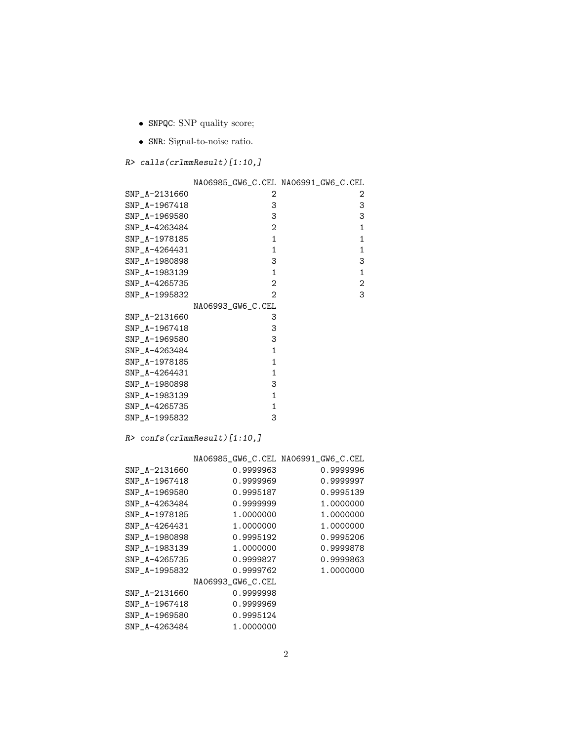- SNPQC: SNP quality score;
- SNR: Signal-to-noise ratio.

```
R> calls(crlmmResult)[1:10,]
```

|               | NA06985_GW6_C.CEL NA06991_GW6_C.CEL |                |
|---------------|-------------------------------------|----------------|
| SNP_A-2131660 | 2                                   | 2              |
| SNP_A-1967418 | 3                                   | 3              |
| SNP_A-1969580 | 3                                   | 3              |
| SNP_A-4263484 | 2                                   | 1              |
| SNP_A-1978185 | $\mathbf{1}$                        | 1              |
| SNP_A-4264431 | 1                                   | 1              |
| SNP_A-1980898 | 3                                   | 3              |
| SNP_A-1983139 | $\mathbf{1}$                        | 1              |
| SNP_A-4265735 | 2                                   | $\overline{c}$ |
| SNP_A-1995832 | 2                                   | 3              |
|               | NA06993_GW6_C.CEL                   |                |
| SNP_A-2131660 | 3                                   |                |
| SNP_A-1967418 | 3                                   |                |
| SNP_A-1969580 | 3                                   |                |
| SNP_A-4263484 | 1                                   |                |
| SNP_A-1978185 | 1                                   |                |
| SNP_A-4264431 | 1                                   |                |
| SNP_A-1980898 | 3                                   |                |
| SNP_A-1983139 | 1                                   |                |
| SNP_A-4265735 | 1                                   |                |
| SNP_A-1995832 | 3                                   |                |

R> confs(crlmmResult)[1:10,]

| 0.9999963         | 0.9999996                           |
|-------------------|-------------------------------------|
| 0.9999969         | 0.9999997                           |
| 0.9995187         | 0.9995139                           |
| 0.9999999         | 1.0000000                           |
| 1.0000000         | 1.0000000                           |
| 1.0000000         | 1.0000000                           |
| 0.9995192         | 0.9995206                           |
| 1.0000000         | 0.9999878                           |
| 0.9999827         | 0.9999863                           |
| 0.9999762         | 1.0000000                           |
| NA06993_GW6_C.CEL |                                     |
| 0.9999998         |                                     |
| 0.9999969         |                                     |
| 0.9995124         |                                     |
| 1.0000000         |                                     |
|                   | NA06985_GW6_C.CEL NA06991_GW6_C.CEL |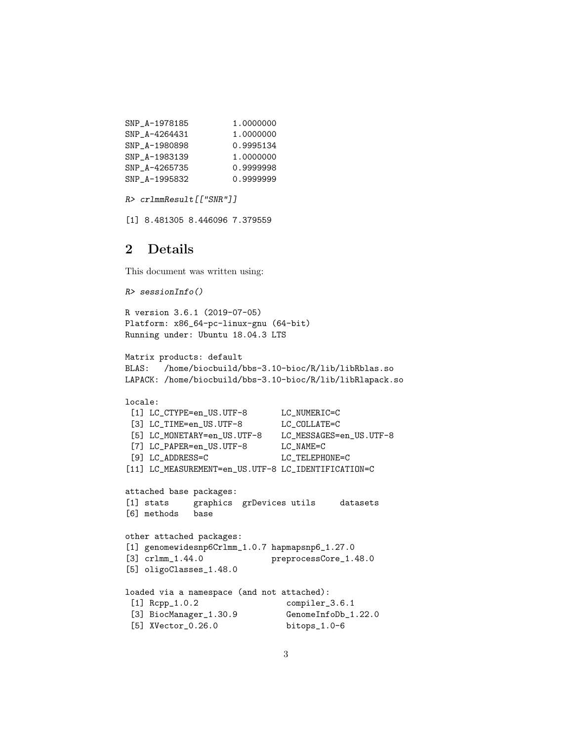| SNP A-1978185 | 1.0000000 |
|---------------|-----------|
| SNP A-4264431 | 1.0000000 |
| SNP A-1980898 | 0.9995134 |
| SNP A-1983139 | 1.0000000 |
| SNP A-4265735 | 0.9999998 |
| SNP A-1995832 | 0.9999999 |

```
R> crlmmResult[["SNR"]]
```
[1] 8.481305 8.446096 7.379559

## 2 Details

This document was written using:

```
R> sessionInfo()
R version 3.6.1 (2019-07-05)
Platform: x86_64-pc-linux-gnu (64-bit)
Running under: Ubuntu 18.04.3 LTS
Matrix products: default
BLAS: /home/biocbuild/bbs-3.10-bioc/R/lib/libRblas.so
LAPACK: /home/biocbuild/bbs-3.10-bioc/R/lib/libRlapack.so
locale:
[1] LC_CTYPE=en_US.UTF-8 LC_NUMERIC=C
 [3] LC_TIME=en_US.UTF-8 LC_COLLATE=C
[5] LC_MONETARY=en_US.UTF-8 LC_MESSAGES=en_US.UTF-8
[7] LC_PAPER=en_US.UTF-8 LC_NAME=C<br>[9] LC_ADDRESS=C LC_TELEPH
                             LC_TELEPHONE=C
[11] LC_MEASUREMENT=en_US.UTF-8 LC_IDENTIFICATION=C
attached base packages:
[1] stats graphics grDevices utils datasets
[6] methods base
other attached packages:
[1] genomewidesnp6Crlmm_1.0.7 hapmapsnp6_1.27.0
[3] crlmm_1.44.0 preprocessCore_1.48.0
[5] oligoClasses_1.48.0
loaded via a namespace (and not attached):
 [1] Rcpp_1.0.2 compiler_3.6.1
 [3] BiocManager_1.30.9 GenomeInfoDb_1.22.0
 [5] XVector_0.26.0 bitops_1.0-6
```